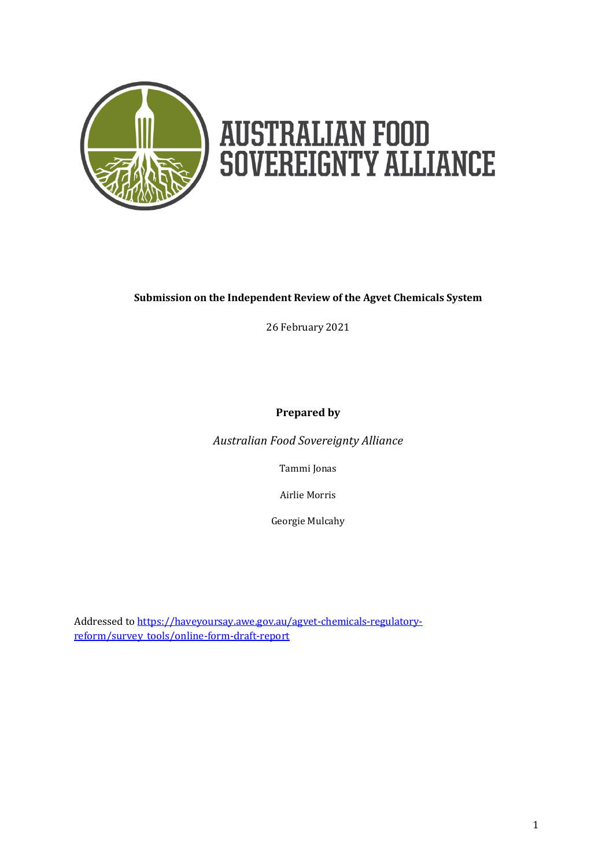

# **AUSTRALIAN FOOD<br>SOVEREIGNTY ALLIANCE**

## **Submission on the Independent Review of the Agvet Chemicals System**

26 February 2021

**Prepared by**

*Australian Food Sovereignty Alliance*

Tammi Jonas

Airlie Morris

Georgie Mulcahy

Addressed t[o https://haveyoursay.awe.gov.au/agvet-chemicals-regulatory](https://haveyoursay.awe.gov.au/agvet-chemicals-regulatory-reform/survey_tools/online-form-draft-report)[reform/survey\\_tools/online-form-draft-report](https://haveyoursay.awe.gov.au/agvet-chemicals-regulatory-reform/survey_tools/online-form-draft-report)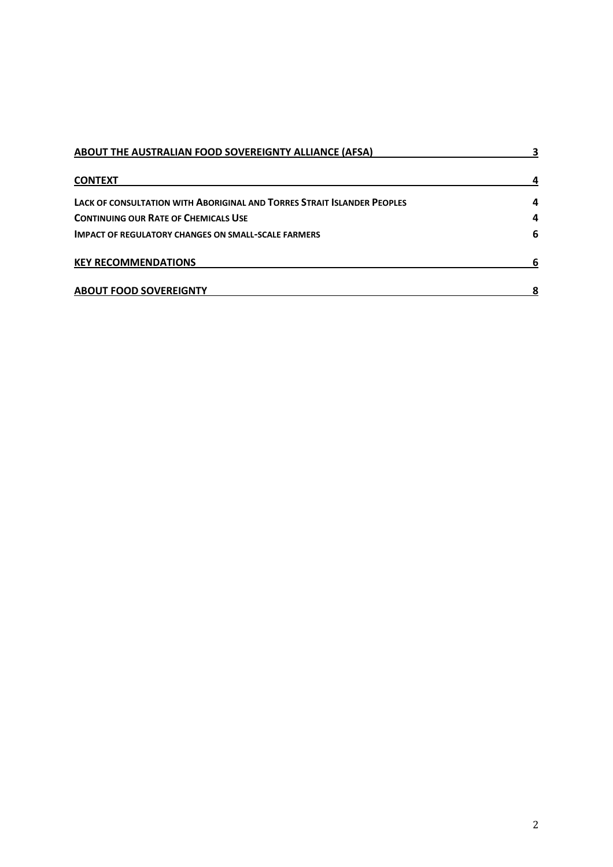| ABOUT THE AUSTRALIAN FOOD SOVEREIGNTY ALLIANCE (AFSA)                   |   |
|-------------------------------------------------------------------------|---|
| <b>CONTEXT</b>                                                          |   |
| LACK OF CONSULTATION WITH ABORIGINAL AND TORRES STRAIT ISLANDER PEOPLES | 4 |
| <b>CONTINUING OUR RATE OF CHEMICALS USE</b>                             | 4 |
| <b>IMPACT OF REGULATORY CHANGES ON SMALL-SCALE FARMERS</b>              | 6 |
| <b>KEY RECOMMENDATIONS</b>                                              | 6 |
| <b>ABOUT FOOD SOVEREIGNTY</b>                                           |   |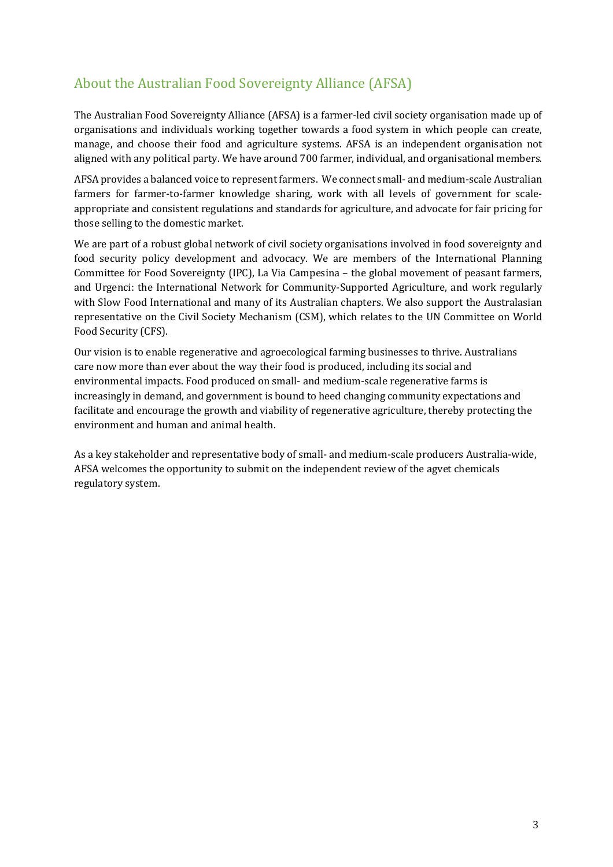# About the Australian Food Sovereignty Alliance (AFSA)

The Australian Food Sovereignty Alliance (AFSA) is a farmer-led civil society organisation made up of organisations and individuals working together towards a food system in which people can create, manage, and choose their food and agriculture systems. AFSA is an independent organisation not aligned with any political party. We have around 700 farmer, individual, and organisational members.

AFSA provides a balanced voice to represent farmers. We connect small- and medium-scale Australian farmers for farmer-to-farmer knowledge sharing, work with all levels of government for scaleappropriate and consistent regulations and standards for agriculture, and advocate for fair pricing for those selling to the domestic market.

We are part of a robust global network of civil society organisations involved in food sovereignty and food security policy development and advocacy. We are members of the International Planning Committee for Food Sovereignty (IPC), La Via Campesina – the global movement of peasant farmers, and Urgenci: the International Network for Community-Supported Agriculture, and work regularly with Slow Food International and many of its Australian chapters. We also support the Australasian representative on the Civil Society Mechanism (CSM), which relates to the UN Committee on World Food Security (CFS).

Our vision is to enable regenerative and agroecological farming businesses to thrive. Australians care now more than ever about the way their food is produced, including its social and environmental impacts. Food produced on small- and medium-scale regenerative farms is increasingly in demand, and government is bound to heed changing community expectations and facilitate and encourage the growth and viability of regenerative agriculture, thereby protecting the environment and human and animal health.

As a key stakeholder and representative body of small- and medium-scale producers Australia-wide, AFSA welcomes the opportunity to submit on the independent review of the agvet chemicals regulatory system.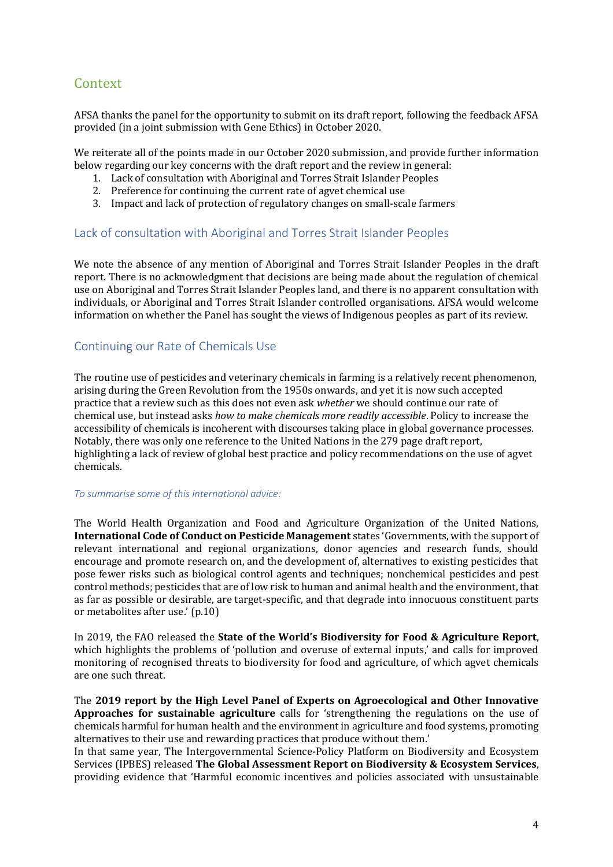# Context

AFSA thanks the panel for the opportunity to submit on its draft report, following the feedback AFSA provided (in a joint submission with Gene Ethics) in October 2020.

We reiterate all of the points made in our October 2020 submission, and provide further information below regarding our key concerns with the draft report and the review in general:

- 1. Lack of consultation with Aboriginal and Torres Strait Islander Peoples
- 2. Preference for continuing the current rate of agvet chemical use
- 3. Impact and lack of protection of regulatory changes on small-scale farmers

## Lack of consultation with Aboriginal and Torres Strait Islander Peoples

We note the absence of any mention of Aboriginal and Torres Strait Islander Peoples in the draft report. There is no acknowledgment that decisions are being made about the regulation of chemical use on Aboriginal and Torres Strait Islander Peoples land, and there is no apparent consultation with individuals, or Aboriginal and Torres Strait Islander controlled organisations. AFSA would welcome information on whether the Panel has sought the views of Indigenous peoples as part of its review.

## Continuing our Rate of Chemicals Use

The routine use of pesticides and veterinary chemicals in farming is a relatively recent phenomenon, arising during the Green Revolution from the 1950s onwards, and yet it is now such accepted practice that a review such as this does not even ask *whether* we should continue our rate of chemical use, but instead asks *how to make chemicals more readily accessible*. Policy to increase the accessibility of chemicals is incoherent with discourses taking place in global governance processes. Notably, there was only one reference to the United Nations in the 279 page draft report, highlighting a lack of review of global best practice and policy recommendations on the use of agvet chemicals.

#### *To summarise some of this international advice:*

The World Health Organization and Food and Agriculture Organization of the United Nations, **International Code of Conduct on Pesticide Management** states 'Governments, with the support of relevant international and regional organizations, donor agencies and research funds, should encourage and promote research on, and the development of, alternatives to existing pesticides that pose fewer risks such as biological control agents and techniques; nonchemical pesticides and pest control methods; pesticides that are of low risk to human and animal health and the environment, that as far as possible or desirable, are target-specific, and that degrade into innocuous constituent parts or metabolites after use.' (p.10)

In 2019, the FAO released the **State of the World's Biodiversity for Food & Agriculture Report**, which highlights the problems of 'pollution and overuse of external inputs,' and calls for improved monitoring of recognised threats to biodiversity for food and agriculture, of which agvet chemicals are one such threat.

The **2019 report by the High Level Panel of Experts on Agroecological and Other Innovative Approaches for sustainable agriculture** calls for 'strengthening the regulations on the use of chemicals harmful for human health and the environment in agriculture and food systems, promoting alternatives to their use and rewarding practices that produce without them.'

In that same year, The Intergovernmental Science-Policy Platform on Biodiversity and Ecosystem Services (IPBES) released **The Global Assessment Report on Biodiversity & Ecosystem Services**, providing evidence that 'Harmful economic incentives and policies associated with unsustainable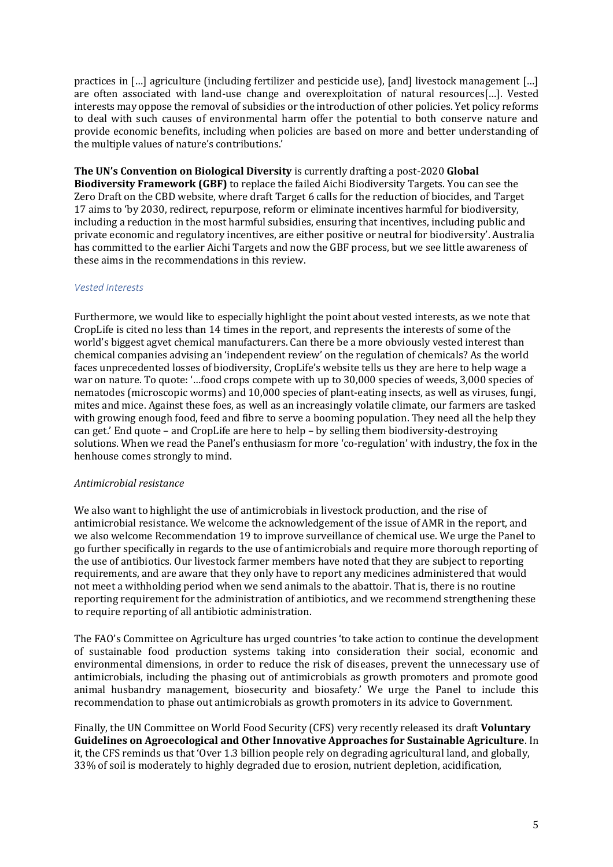practices in […] agriculture (including fertilizer and pesticide use), [and] livestock management […] are often associated with land-use change and overexploitation of natural resources[…]. Vested interests may oppose the removal of subsidies or the introduction of other policies. Yet policy reforms to deal with such causes of environmental harm offer the potential to both conserve nature and provide economic benefits, including when policies are based on more and better understanding of the multiple values of nature's contributions.'

**The UN's Convention on Biological Diversity** is currently drafting a post-2020 **Global Biodiversity Framework (GBF)** to replace the failed Aichi Biodiversity Targets. You can see the Zero Draft on the CBD website, where draft Target 6 calls for the reduction of biocides, and Target 17 aims to 'by 2030, redirect, repurpose, reform or eliminate incentives harmful for biodiversity, including a reduction in the most harmful subsidies, ensuring that incentives, including public and private economic and regulatory incentives, are either positive or neutral for biodiversity'. Australia has committed to the earlier Aichi Targets and now the GBF process, but we see little awareness of these aims in the recommendations in this review.

## *Vested Interests*

Furthermore, we would like to especially highlight the point about vested interests, as we note that CropLife is cited no less than 14 times in the report, and represents the interests of some of the world's biggest agvet chemical manufacturers. Can there be a more obviously vested interest than chemical companies advising an 'independent review' on the regulation of chemicals? As the world faces unprecedented losses of biodiversity, CropLife's website tells us they are here to help wage a war on nature. To quote: '…food crops compete with up to 30,000 species of weeds, 3,000 species of nematodes (microscopic worms) and 10,000 species of plant-eating insects, as well as viruses, fungi, mites and mice. Against these foes, as well as an increasingly volatile climate, our farmers are tasked with growing enough food, feed and fibre to serve a booming population. They need all the help they can get.' End quote – and CropLife are here to help – by selling them biodiversity-destroying solutions. When we read the Panel's enthusiasm for more 'co-regulation' with industry, the fox in the henhouse comes strongly to mind.

#### *Antimicrobial resistance*

We also want to highlight the use of antimicrobials in livestock production, and the rise of antimicrobial resistance. We welcome the acknowledgement of the issue of AMR in the report, and we also welcome Recommendation 19 to improve surveillance of chemical use. We urge the Panel to go further specifically in regards to the use of antimicrobials and require more thorough reporting of the use of antibiotics. Our livestock farmer members have noted that they are subject to reporting requirements, and are aware that they only have to report any medicines administered that would not meet a withholding period when we send animals to the abattoir. That is, there is no routine reporting requirement for the administration of antibiotics, and we recommend strengthening these to require reporting of all antibiotic administration.

The FAO's Committee on Agriculture has urged countries 'to take action to continue the development of sustainable food production systems taking into consideration their social, economic and environmental dimensions, in order to reduce the risk of diseases, prevent the unnecessary use of antimicrobials, including the phasing out of antimicrobials as growth promoters and promote good animal husbandry management, biosecurity and biosafety.' We urge the Panel to include this recommendation to phase out antimicrobials as growth promoters in its advice to Government.

Finally, the UN Committee on World Food Security (CFS) very recently released its draft **Voluntary Guidelines on Agroecological and Other Innovative Approaches for Sustainable Agriculture**. In it, the CFS reminds us that 'Over 1.3 billion people rely on degrading agricultural land, and globally, 33% of soil is moderately to highly degraded due to erosion, nutrient depletion, acidification,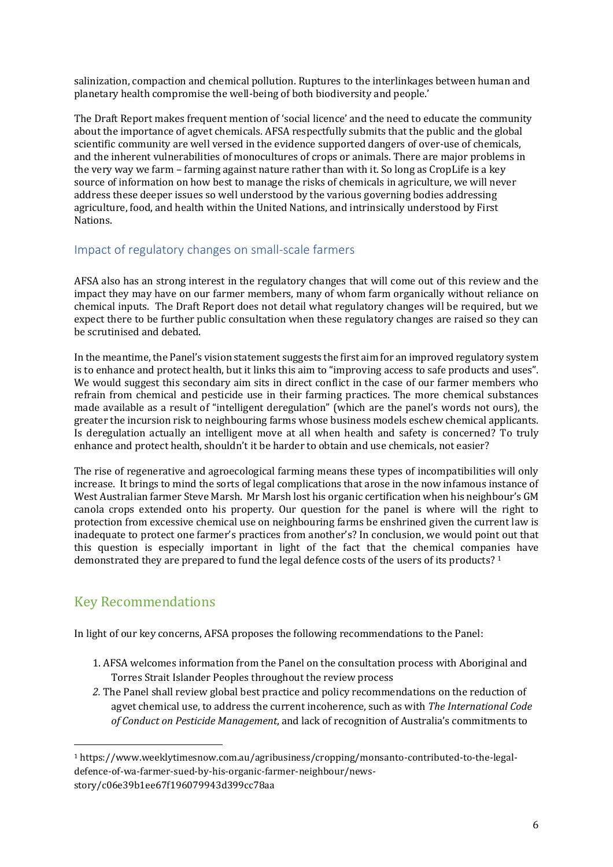salinization, compaction and chemical pollution. Ruptures to the interlinkages between human and planetary health compromise the well-being of both biodiversity and people.'

The Draft Report makes frequent mention of 'social licence' and the need to educate the community about the importance of agvet chemicals. AFSA respectfully submits that the public and the global scientific community are well versed in the evidence supported dangers of over-use of chemicals, and the inherent vulnerabilities of monocultures of crops or animals. There are major problems in the very way we farm – farming against nature rather than with it. So long as CropLife is a key source of information on how best to manage the risks of chemicals in agriculture, we will never address these deeper issues so well understood by the various governing bodies addressing agriculture, food, and health within the United Nations, and intrinsically understood by First Nations.

## Impact of regulatory changes on small-scale farmers

AFSA also has an strong interest in the regulatory changes that will come out of this review and the impact they may have on our farmer members, many of whom farm organically without reliance on chemical inputs. The Draft Report does not detail what regulatory changes will be required, but we expect there to be further public consultation when these regulatory changes are raised so they can be scrutinised and debated.

In the meantime, the Panel's vision statement suggests the first aim for an improved regulatory system is to enhance and protect health, but it links this aim to "improving access to safe products and uses". We would suggest this secondary aim sits in direct conflict in the case of our farmer members who refrain from chemical and pesticide use in their farming practices. The more chemical substances made available as a result of "intelligent deregulation" (which are the panel's words not ours), the greater the incursion risk to neighbouring farms whose business models eschew chemical applicants. Is deregulation actually an intelligent move at all when health and safety is concerned? To truly enhance and protect health, shouldn't it be harder to obtain and use chemicals, not easier?

The rise of regenerative and agroecological farming means these types of incompatibilities will only increase. It brings to mind the sorts of legal complications that arose in the now infamous instance of West Australian farmer Steve Marsh. Mr Marsh lost his organic certification when his neighbour's GM canola crops extended onto his property. Our question for the panel is where will the right to protection from excessive chemical use on neighbouring farms be enshrined given the current law is inadequate to protect one farmer's practices from another's? In conclusion, we would point out that this question is especially important in light of the fact that the chemical companies have demonstrated they are prepared to fund the legal defence costs of the users of its products? <sup>1</sup>

# Key Recommendations

In light of our key concerns, AFSA proposes the following recommendations to the Panel:

- 1. AFSA welcomes information from the Panel on the consultation process with Aboriginal and Torres Strait Islander Peoples throughout the review process
- *2.* The Panel shall review global best practice and policy recommendations on the reduction of agvet chemical use, to address the current incoherence, such as with *The International Code of Conduct on Pesticide Management*, and lack of recognition of Australia's commitments to

<sup>1</sup> https://www.weeklytimesnow.com.au/agribusiness/cropping/monsanto-contributed-to-the-legaldefence-of-wa-farmer-sued-by-his-organic-farmer-neighbour/newsstory/c06e39b1ee67f196079943d399cc78aa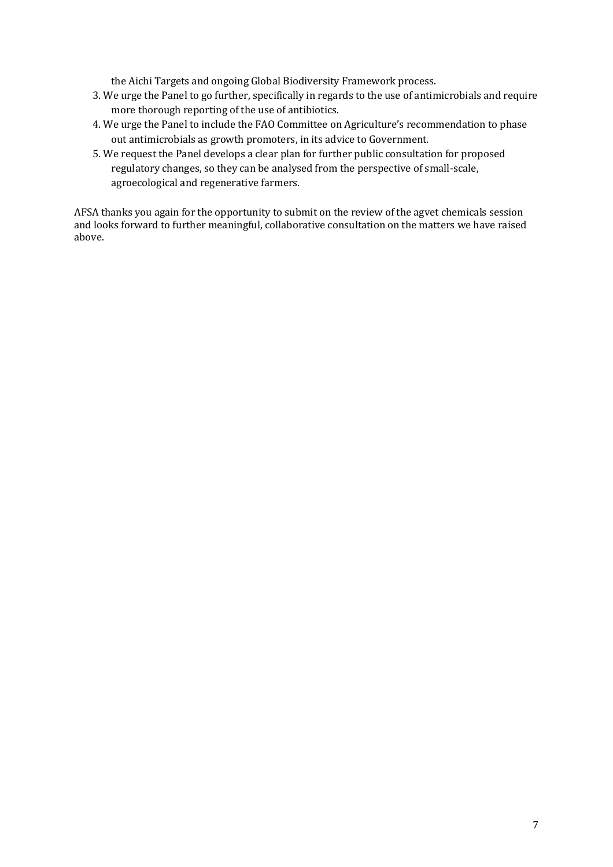the Aichi Targets and ongoing Global Biodiversity Framework process.

- 3. We urge the Panel to go further, specifically in regards to the use of antimicrobials and require more thorough reporting of the use of antibiotics.
- 4. We urge the Panel to include the FAO Committee on Agriculture's recommendation to phase out antimicrobials as growth promoters, in its advice to Government.
- 5. We request the Panel develops a clear plan for further public consultation for proposed regulatory changes, so they can be analysed from the perspective of small-scale, agroecological and regenerative farmers.

AFSA thanks you again for the opportunity to submit on the review of the agvet chemicals session and looks forward to further meaningful, collaborative consultation on the matters we have raised above.